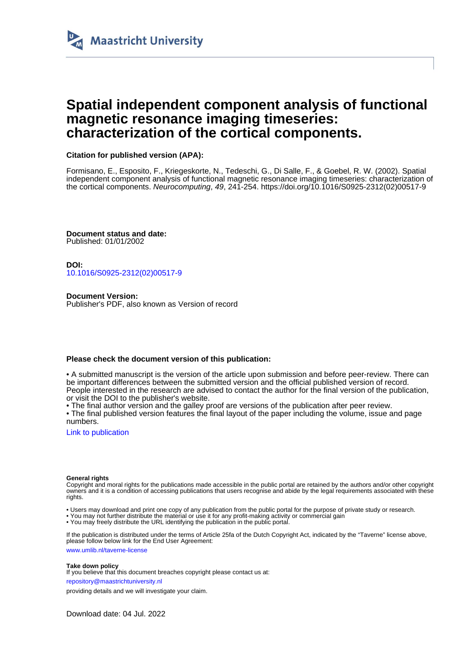

## **Spatial independent component analysis of functional magnetic resonance imaging timeseries: characterization of the cortical components.**

## **Citation for published version (APA):**

Formisano, E., Esposito, F., Kriegeskorte, N., Tedeschi, G., Di Salle, F., & Goebel, R. W. (2002). Spatial independent component analysis of functional magnetic resonance imaging timeseries: characterization of the cortical components. Neurocomputing, 49, 241-254. [https://doi.org/10.1016/S0925-2312\(02\)00517-9](https://doi.org/10.1016/S0925-2312(02)00517-9)

**Document status and date:** Published: 01/01/2002

**DOI:** [10.1016/S0925-2312\(02\)00517-9](https://doi.org/10.1016/S0925-2312(02)00517-9)

**Document Version:** Publisher's PDF, also known as Version of record

## **Please check the document version of this publication:**

• A submitted manuscript is the version of the article upon submission and before peer-review. There can be important differences between the submitted version and the official published version of record. People interested in the research are advised to contact the author for the final version of the publication, or visit the DOI to the publisher's website.

• The final author version and the galley proof are versions of the publication after peer review.

• The final published version features the final layout of the paper including the volume, issue and page numbers.

[Link to publication](https://cris.maastrichtuniversity.nl/en/publications/f5419673-b2f6-4cd4-adcb-3624028b627c)

#### **General rights**

Copyright and moral rights for the publications made accessible in the public portal are retained by the authors and/or other copyright owners and it is a condition of accessing publications that users recognise and abide by the legal requirements associated with these rights.

- Users may download and print one copy of any publication from the public portal for the purpose of private study or research.
- You may not further distribute the material or use it for any profit-making activity or commercial gain
- You may freely distribute the URL identifying the publication in the public portal

If the publication is distributed under the terms of Article 25fa of the Dutch Copyright Act, indicated by the "Taverne" license above, please follow below link for the End User Agreement:

www.umlib.nl/taverne-license

#### **Take down policy**

If you believe that this document breaches copyright please contact us at:

repository@maastrichtuniversity.nl

providing details and we will investigate your claim.

Download date: 04 Jul. 2022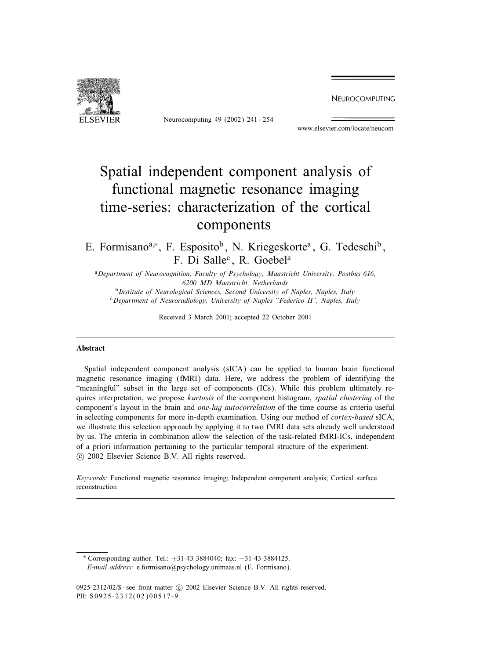NEUROCOMPUTING



Neurocomputing 49 (2002) 241 – 254

www.elsevier.com/locate/neucom

# Spatial independent component analysis of functional magnetic resonance imaging time-series: characterization of the cortical components

E. Formisano<sup>a,\*</sup>, F. Esposito<sup>b</sup>, N. Kriegeskorte<sup>a</sup>, G. Tedeschi<sup>b</sup>, F. Di Salle<sup>c</sup>, R. Goebel<sup>a</sup>

<sup>a</sup>*Department of Neurocognition, Faculty of Psychology, Maastricht University, Postbus 616, 6200 MD Maastricht, Netherlands*

<sup>b</sup>*Institute of Neurological Sciences, Second University of Naples, Naples, Italy* <sup>c</sup>*Department of Neuroradiology, University of Naples "Federico II", Naples, Italy*

Received 3 March 2001; accepted 22 October 2001

#### Abstract

Spatial independent component analysis (sICA) can be applied to human brain functional magnetic resonance imaging (fMRI) data. Here, we address the problem of identifying the "meaningful" subset in the large set of components (ICs). While this problem ultimately requires interpretation, we propose *kurtosis* of the component histogram, *spatial clustering* of the component's layout in the brain and *one-lag autocorrelation* of the time course as criteria useful in selecting components for more in-depth examination. Using our method of *cortex-based* sICA, we illustrate this selection approach by applying it to two fMRI data sets already well understood by us. The criteria in combination allow the selection of the task-related fMRI-ICs, independent of a priori information pertaining to the particular temporal structure of the experiment. -c 2002 Elsevier Science B.V. All rights reserved.

*Keywords:* Functional magnetic resonance imaging; Independent component analysis; Cortical surface reconstruction

∗ Corresponding author. Tel.: +31-43-3884040; fax: +31-43-3884125. *E-mail address:* e.formisano@psychology.unimaas.nl (E. Formisano).

<sup>0925-2312/02/\$ -</sup> see front matter  $\odot$  2002 Elsevier Science B.V. All rights reserved. PII: S0925-2312(02)00517-9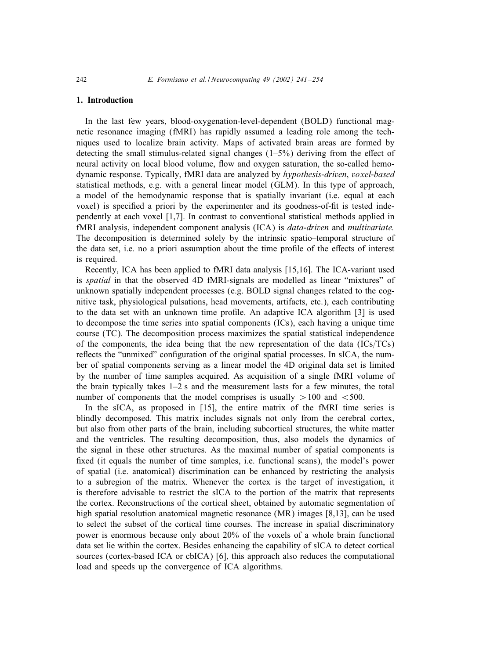### 1. Introduction

In the last few years, blood-oxygenation-level-dependent (BOLD) functional magnetic resonance imaging (fMRI) has rapidly assumed a leading role among the techniques used to localize brain activity. Maps of activated brain areas are formed by detecting the small stimulus-related signal changes  $(1-5%)$  deriving from the effect of neural activity on local blood volume, Iow and oxygen saturation, the so-called hemodynamic response. Typically, fMRI data are analyzed by *hypothesis-driven*, *voxel-based* statistical methods, e.g. with a general linear model  $(GLM)$ . In this type of approach, a model of the hemodynamic response that is spatially invariant (i.e. equal at each voxel) is specified a priori by the experimenter and its goodness-of-fit is tested independently at each voxel [1,7]. In contrast to conventional statistical methods applied in fMRI analysis, independent component analysis (ICA) is *data-driven* and *multivariate.* The decomposition is determined solely by the intrinsic spatio–temporal structure of the data set, i.e. no a priori assumption about the time profile of the effects of interest is required.

Recently, ICA has been applied to fMRI data analysis [15,16]. The ICA-variant used is *spatial* in that the observed 4D fMRI-signals are modelled as linear "mixtures" of unknown spatially independent processes (e.g. BOLD signal changes related to the cognitive task, physiological pulsations, head movements, artifacts, etc.), each contributing to the data set with an unknown time profile. An adaptive ICA algorithm [3] is used to decompose the time series into spatial components (ICs), each having a unique time course (TC). The decomposition process maximizes the spatial statistical independence of the components, the idea being that the new representation of the data  $(ICs/TCs)$ reflects the "unmixed" configuration of the original spatial processes. In sICA, the number of spatial components serving as a linear model the 4D original data set is limited by the number of time samples acquired. As acquisition of a single fMRI volume of the brain typically takes  $1-2$  s and the measurement lasts for a few minutes, the total number of components that the model comprises is usually  $>100$  and  $< 500$ .

In the sICA, as proposed in  $[15]$ , the entire matrix of the fMRI time series is blindly decomposed. This matrix includes signals not only from the cerebral cortex, but also from other parts of the brain, including subcortical structures, the white matter and the ventricles. The resulting decomposition, thus, also models the dynamics of the signal in these other structures. As the maximal number of spatial components is fixed (it equals the number of time samples, i.e. functional scans), the model's power ofspatial (i.e. anatomical) discrimination can be enhanced by restricting the analysis to a subregion of the matrix. Whenever the cortex is the target of investigation, it is therefore advisable to restrict the sICA to the portion of the matrix that represents the cortex. Reconstructions of the cortical sheet, obtained by automatic segmentation of high spatial resolution anatomical magnetic resonance (MR) images [8,13], can be used to select the subset of the cortical time courses. The increase in spatial discriminatory power is enormous because only about 20% of the voxels of a whole brain functional data set lie within the cortex. Besides enhancing the capability of sICA to detect cortical sources (cortex-based ICA or cbICA) [6], this approach also reduces the computational load and speeds up the convergence of ICA algorithms.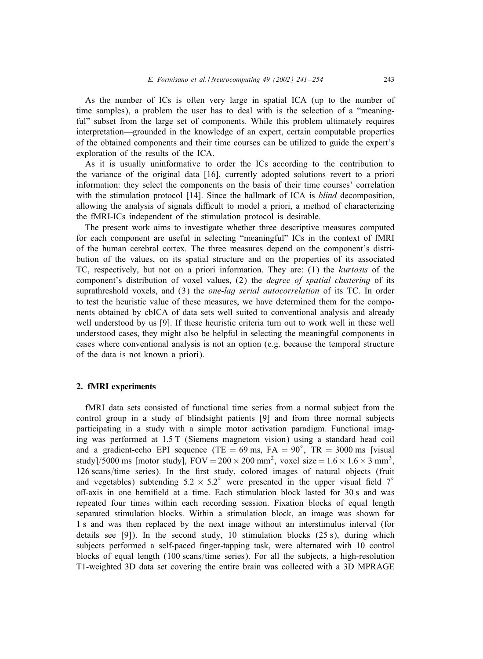As the number of ICs is often very large in spatial ICA (up to the number of time samples), a problem the user has to deal with is the selection of a "meaningful" subset from the large set of components. While this problem ultimately requires interpretation—grounded in the knowledge of an expert, certain computable properties ofthe obtained components and their time courses can be utilized to guide the expert's exploration of the results of the ICA.

As it is usually uninformative to order the ICs according to the contribution to the variance ofthe original data [16], currently adopted solutions revert to a priori information: they select the components on the basis of their time courses' correlation with the stimulation protocol [14]. Since the hallmark of ICA is *blind* decomposition, allowing the analysis of signals difficult to model a priori, a method of characterizing the fMRI-ICs independent of the stimulation protocol is desirable.

The present work aims to investigate whether three descriptive measures computed for each component are useful in selecting "meaningful" ICs in the context of fMRI of the human cerebral cortex. The three measures depend on the component's distribution of the values, on its spatial structure and on the properties of its associated TC, respectively, but not on a priori information. They are: (1) the *kurtosis* of the component's distribution of voxel values, (2) the *degree of spatial clustering* of its suprathreshold voxels, and (3) the *one-lag serial autocorrelation* of its TC. In order to test the heuristic value of these measures, we have determined them for the components obtained by cbICA of data sets well suited to conventional analysis and already well understood by us [9]. If these heuristic criteria turn out to work well in these well understood cases, they might also be helpful in selecting the meaningful components in cases where conventional analysis is not an option (e.g. because the temporal structure of the data is not known a priori).

### 2. fMRI experiments

fMRI data sets consisted of functional time series from a normal subject from the control group in a study of blindsight patients [9] and from three normal subjects participating in a study with a simple motor activation paradigm. Functional imaging was performed at 1:5 T (Siemens magnetom vision) using a standard head coil and a gradient-echo EPI sequence (TE =  $69 \text{ ms}$ , FA =  $90^{\circ}$ , TR =  $3000 \text{ ms}$  [visual study]/5000 ms [motor study],  $FOV = 200 \times 200$  mm<sup>2</sup>, voxel size  $= 1.6 \times 1.6 \times 3$  mm<sup>3</sup>, 126 scans/time series). In the first study, colored images of natural objects (fruit and vegetables) subtending  $5.2 \times 5.2^\circ$  were presented in the upper visual field  $7^\circ$ off-axis in one hemifield at a time. Each stimulation block lasted for 30 s and was repeated four times within each recording session. Fixation blocks of equal length separated stimulation blocks. Within a stimulation block, an image was shown for 1 s and was then replaced by the next image without an interstimulus interval (for details see [9]). In the second study, 10 stimulation blocks  $(25 s)$ , during which subjects performed a self-paced finger-tapping task, were alternated with 10 control blocks of equal length  $(100 \text{ scans/time series})$ . For all the subjects, a high-resolution T1-weighted 3D data set covering the entire brain was collected with a 3D MPRAGE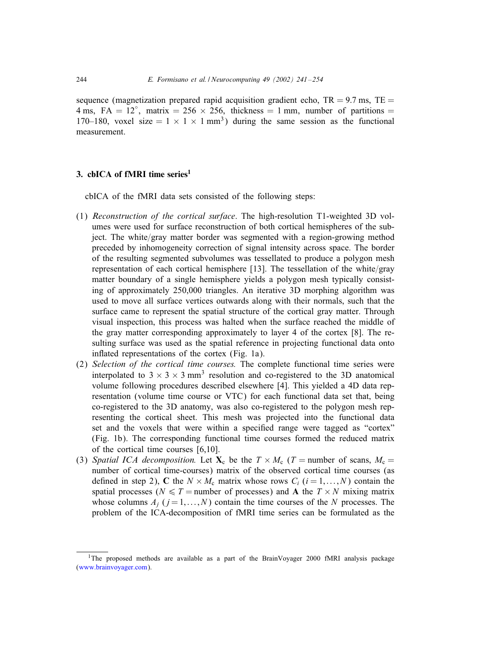sequence (magnetization prepared rapid acquisition gradient echo,  $TR = 9.7$  ms,  $TE =$ 4 ms, FA =  $12^{\circ}$ , matrix =  $256 \times 256$ , thickness = 1 mm, number of partitions = 170–180, voxel size =  $1 \times 1 \times 1$  mm<sup>3</sup>) during the same session as the functional measurement.

#### 3. cbICA of fMRI time series $<sup>1</sup>$ </sup>

cbICA of the fMRI data sets consisted of the following steps:

- (1) *Reconstruction of the cortical surface*. The high-resolution T1-weighted 3D volumes were used for surface reconstruction of both cortical hemispheres of the subject. The white/gray matter border was segmented with a region-growing method preceded by inhomogeneity correction of signal intensity across space. The border of the resulting segmented subvolumes was tessellated to produce a polygon mesh representation of each cortical hemisphere [13]. The tessellation of the white/gray matter boundary of a single hemisphere yields a polygon mesh typically consisting of approximately 250,000 triangles. An iterative 3D morphing algorithm was used to move all surface vertices outwards along with their normals, such that the surface came to represent the spatial structure of the cortical gray matter. Through visual inspection, this process was halted when the surface reached the middle of the gray matter corresponding approximately to layer 4 of the cortex  $[8]$ . The resulting surface was used as the spatial reference in projecting functional data onto inflated representations of the cortex (Fig. 1a).
- (2) *Selection of the cortical time courses.* The complete functional time series were interpolated to  $3 \times 3 \times 3$  mm<sup>3</sup> resolution and co-registered to the 3D anatomical volume following procedures described elsewhere [4]. This yielded a 4D data representation (volume time course or VTC) for each functional data set that, being co-registered to the 3D anatomy, was also co-registered to the polygon mesh representing the cortical sheet. This mesh was projected into the functional data set and the voxels that were within a specified range were tagged as "cortex" (Fig. 1b). The corresponding functional time courses formed the reduced matrix of the cortical time courses  $[6,10]$ .
- (3) *Spatial ICA decomposition.* Let  $X_c$  be the  $T \times M_c$  (T = number of scans,  $M_c$  = number of cortical time-courses) matrix of the observed cortical time courses (as defined in step 2), C the  $N \times M_c$  matrix whose rows  $C_i$  ( $i = 1,...,N$ ) contain the spatial processes ( $N \leq T$  = number of processes) and **A** the  $T \times N$  mixing matrix whose columns  $A_i$  ( $j = 1,...,N$ ) contain the time courses of the N processes. The problem of the ICA-decomposition of fMRI time series can be formulated as the

<sup>&</sup>lt;sup>1</sup>The proposed methods are available as a part of the BrainVoyager 2000 fMRI analysis package [\(www.brainvoyager.com\)](http://www.brainvoyager.com).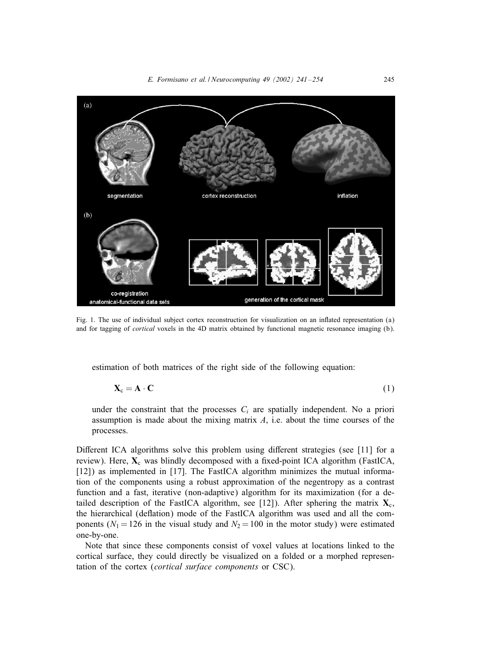

Fig. 1. The use of individual subject cortex reconstruction for visualization on an inflated representation (a) and for tagging of *cortical* voxels in the 4D matrix obtained by functional magnetic resonance imaging (b).

estimation of both matrices of the right side of the following equation:

$$
\mathbf{X}_{\mathbf{c}} = \mathbf{A} \cdot \mathbf{C} \tag{1}
$$

under the constraint that the processes  $C_i$  are spatially independent. No a priori assumption is made about the mixing matrix  $A$ , i.e. about the time courses of the processes.

Different ICA algorithms solve this problem using different strategies (see [11] for a review). Here,  $\mathbf{X}_c$  was blindly decomposed with a fixed-point ICA algorithm (FastICA, [12]) as implemented in [17]. The FastICA algorithm minimizes the mutual information of the components using a robust approximation of the negentropy as a contrast function and a fast, iterative (non-adaptive) algorithm for its maximization (for a detailed description of the FastICA algorithm, see [12]). After sphering the matrix  $\mathbf{X}_c$ , the hierarchical (deflation) mode of the FastICA algorithm was used and all the components ( $N_1 = 126$  in the visual study and  $N_2 = 100$  in the motor study) were estimated one-by-one.

Note that since these components consist of voxel values at locations linked to the cortical surface, they could directly be visualized on a folded or a morphed representation of the cortex (*cortical surface components* or CSC).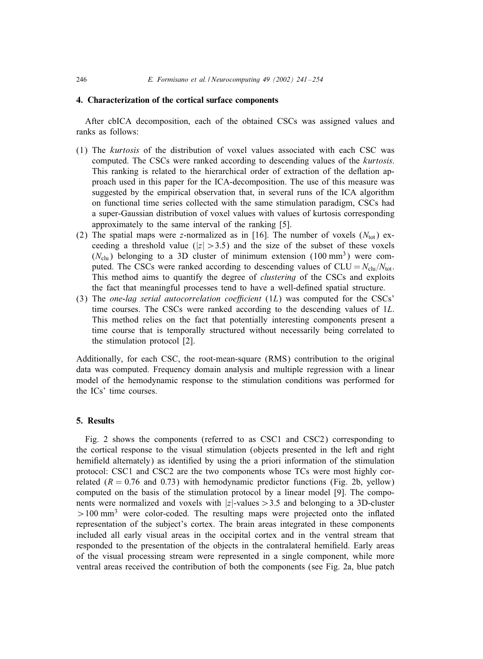#### 4. Characterization of the cortical surface components

After cbICA decomposition, each of the obtained CSCs was assigned values and ranks as follows:

- (1) The *kurtosis* ofthe distribution ofvoxel values associated with each CSC was computed. The CSCs were ranked according to descending values of the *kurtosis*. This ranking is related to the hierarchical order of extraction of the deflation approach used in this paper for the ICA-decomposition. The use of this measure was suggested by the empirical observation that, in several runs of the ICA algorithm on functional time series collected with the same stimulation paradigm, CSCs had a super-Gaussian distribution of voxel values with values of kurtosis corresponding approximately to the same interval of the ranking [5].
- (2) The spatial maps were z-normalized as in [16]. The number of voxels  $(N_{\text{tot}})$  exceeding a threshold value ( $|z| > 3.5$ ) and the size of the subset of these voxels  $(N_{\text{clu}})$  belonging to a 3D cluster of minimum extension (100 mm<sup>3</sup>) were computed. The CSCs were ranked according to descending values of  $CLU = N_{\text{clu}}/N_{\text{tot}}$ . This method aims to quantify the degree of *clustering* of the CSCs and exploits the fact that meaningful processes tend to have a well-defined spatial structure.
- (3) The *one-lag serial autocorrelation coe6cient* (1L) was computed for the CSCs' time courses. The CSCs were ranked according to the descending values of  $1L$ . This method relies on the fact that potentially interesting components present a time course that is temporally structured without necessarily being correlated to the stimulation protocol [2].

Additionally, for each CSC, the root-mean-square (RMS) contribution to the original data was computed. Frequency domain analysis and multiple regression with a linear model of the hemodynamic response to the stimulation conditions was performed for the ICs' time courses.

## 5. Results

Fig. 2 shows the components (referred to as CSC1 and CSC2) corresponding to the cortical response to the visual stimulation (objects presented in the left and right hemifield alternately) as identified by using the a priori information of the stimulation protocol: CSC1 and CSC2 are the two components whose TCs were most highly correlated  $(R = 0.76$  and 0.73) with hemodynamic predictor functions (Fig. 2b, yellow) computed on the basis of the stimulation protocol by a linear model  $[9]$ . The components were normalized and voxels with  $|z|$ -values  $>$  3.5 and belonging to a 3D-cluster  $>100$  mm<sup>3</sup> were color-coded. The resulting maps were projected onto the inflated representation of the subject's cortex. The brain areas integrated in these components included all early visual areas in the occipital cortex and in the ventral stream that responded to the presentation of the objects in the contralateral hemifield. Early areas of the visual processing stream were represented in a single component, while more ventral areas received the contribution of both the components (see Fig. 2a, blue patch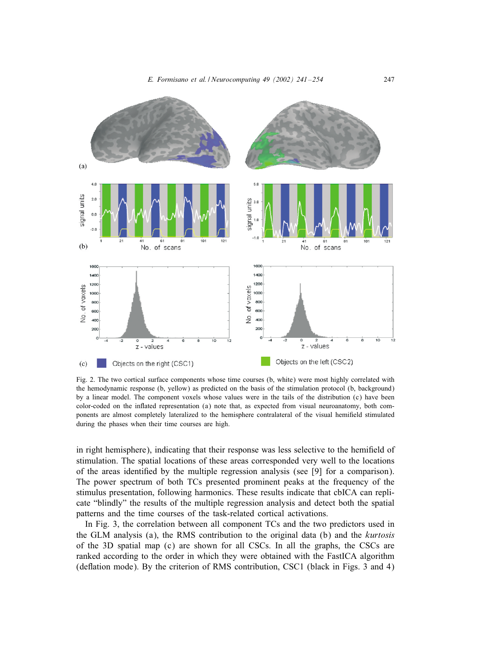

Fig. 2. The two cortical surface components whose time courses (b, white) were most highly correlated with the hemodynamic response (b, yellow) as predicted on the basis of the stimulation protocol (b, background) by a linear model. The component voxels whose values were in the tails of the distribution (c) have been color-coded on the inIated representation (a) note that, as expected from visual neuroanatomy, both components are almost completely lateralized to the hemisphere contralateral of the visual hemifield stimulated during the phases when their time courses are high.

in right hemisphere), indicating that their response was less selective to the hemifield of stimulation. The spatial locations of these areas corresponded very well to the locations of the areas identified by the multiple regression analysis (see  $[9]$  for a comparison). The power spectrum of both TCs presented prominent peaks at the frequency of the stimulus presentation, following harmonics. These results indicate that cbICA can replicate "blindly" the results of the multiple regression analysis and detect both the spatial patterns and the time courses of the task-related cortical activations.

In Fig. 3, the correlation between all component TCs and the two predictors used in the GLM analysis (a), the RMS contribution to the original data (b) and the *kurtosis* ofthe 3D spatial map (c) are shown for all CSCs. In all the graphs, the CSCs are ranked according to the order in which they were obtained with the FastICA algorithm (deflation mode). By the criterion of RMS contribution, CSC1 (black in Figs. 3 and 4)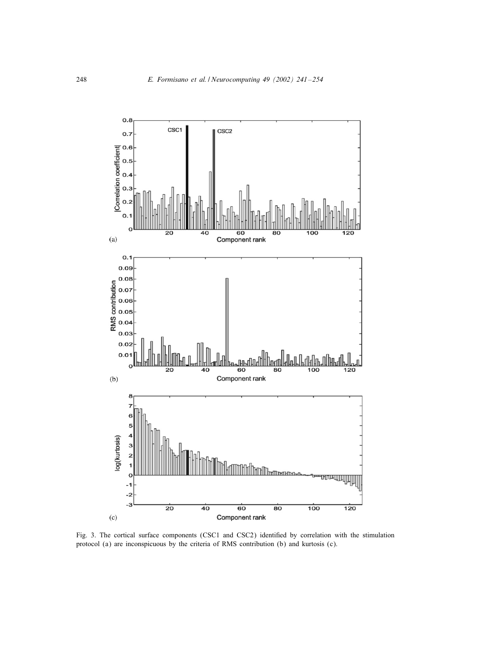

Fig. 3. The cortical surface components (CSC1 and CSC2) identified by correlation with the stimulation protocol (a) are inconspicuous by the criteria ofRMS contribution (b) and kurtosis (c).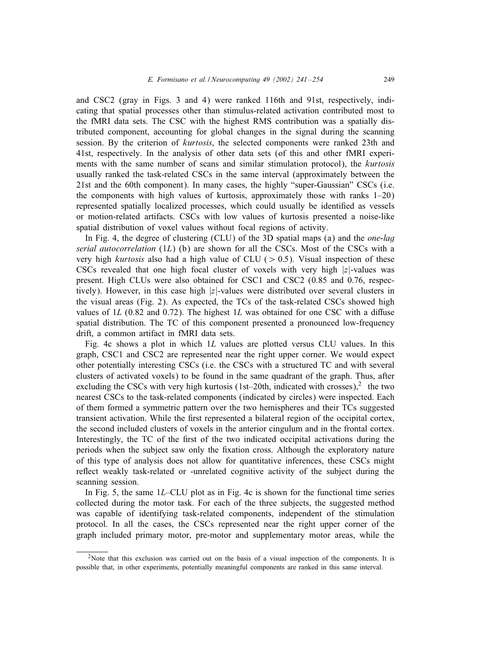and CSC2 (gray in Figs. 3 and 4) were ranked 116th and 91st, respectively, indicating that spatial processes other than stimulus-related activation contributed most to the fMRI data sets. The CSC with the highest RMS contribution was a spatially distributed component, accounting for global changes in the signal during the scanning session. By the criterion of *kurtosis*, the selected components were ranked 23th and 41st, respectively. In the analysis ofother data sets (ofthis and other fMRI experiments with the same number of scans and similar stimulation protocol), the *kurtosis* usually ranked the task-related CSCs in the same interval (approximately between the 21st and the 60th component). In many cases, the highly "super-Gaussian" CSCs (i.e. the components with high values of kurtosis, approximately those with ranks  $1-20$ ) represented spatially localized processes, which could usually be identified as vessels or motion-related artifacts. CSCs with low values of kurtosis presented a noise-like spatial distribution of voxel values without focal regions of activity.

In Fig. 4, the degree of clustering (CLU) of the 3D spatial maps (a) and the *one-lag serial autocorrelation* (1L) (b) are shown for all the CSCs. Most of the CSCs with a very high *kurtosis* also had a high value of CLU ( $> 0.5$ ). Visual inspection of these CSCs revealed that one high focal cluster of voxels with very high  $|z|$ -values was present. High CLUs were also obtained for CSC1 and CSC2 (0.85 and 0.76, respectively). However, in this case high  $|z|$ -values were distributed over several clusters in the visual areas (Fig. 2). As expected, the  $TCs$  of the task-related CSCs showed high values of  $1L$  (0.82 and 0.72). The highest  $1L$  was obtained for one CSC with a diffuse spatial distribution. The TC of this component presented a pronounced low-frequency drift, a common artifact in fMRI data sets.

Fig. 4c shows a plot in which 1L values are plotted versus CLU values. In this graph, CSC1 and CSC2 are represented near the right upper corner. We would expect other potentially interesting CSCs (i.e. the CSCs with a structured TC and with several clusters of activated voxels) to be found in the same quadrant of the graph. Thus, after excluding the CSCs with very high kurtosis (1st–20th, indicated with crosses),  $\ell$  the two nearest CSCs to the task-related components (indicated by circles) were inspected. Each ofthem formed a symmetric pattern over the two hemispheres and their TCs suggested transient activation. While the first represented a bilateral region of the occipital cortex, the second included clusters ofvoxels in the anterior cingulum and in the frontal cortex. Interestingly, the TC of the first of the two indicated occipital activations during the periods when the subject saw only the Jxation cross. Although the exploratory nature of this type of analysis does not allow for quantitative inferences, these CSCs might reflect weakly task-related or -unrelated cognitive activity of the subject during the scanning session.

In Fig. 5, the same  $1L$ –CLU plot as in Fig. 4c is shown for the functional time series collected during the motor task. For each of the three subjects, the suggested method was capable of identifying task-related components, independent of the stimulation protocol. In all the cases, the CSCs represented near the right upper corner of the graph included primary motor, pre-motor and supplementary motor areas, while the

<sup>&</sup>lt;sup>2</sup>Note that this exclusion was carried out on the basis of a visual inspection of the components. It is possible that, in other experiments, potentially meaningful components are ranked in this same interval.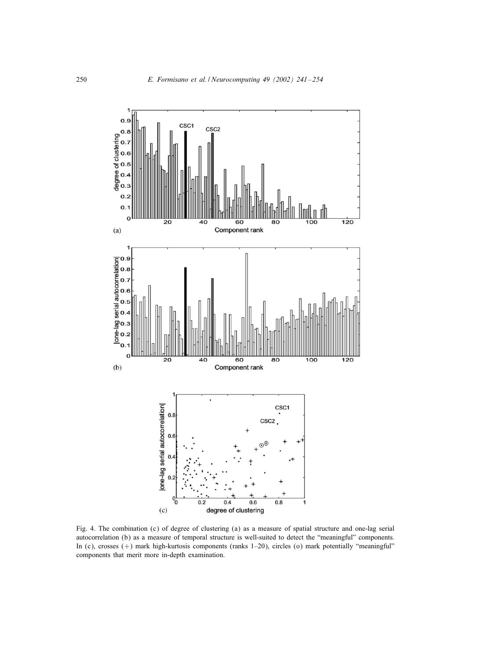

Fig. 4. The combination (c) of degree of clustering (a) as a measure of spatial structure and one-lag serial autocorrelation (b) as a measure of temporal structure is well-suited to detect the "meaningful" components. In (c), crosses (+) mark high-kurtosis components (ranks 1–20), circles (o) mark potentially "meaningful" components that merit more in-depth examination.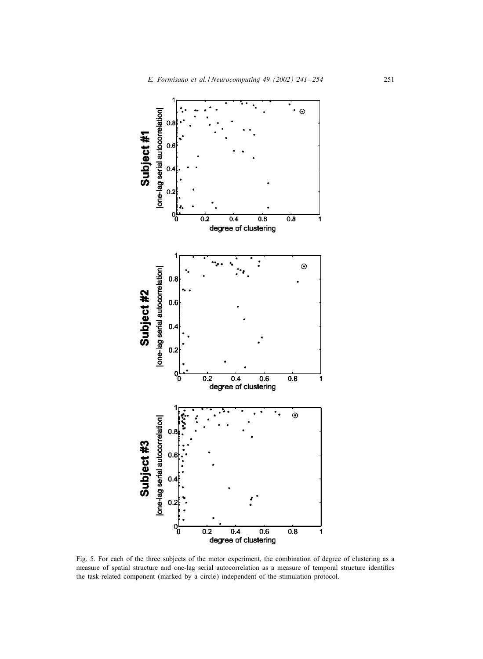

Fig. 5. For each of the three subjects of the motor experiment, the combination of degree of clustering as a measure of spatial structure and one-lag serial autocorrelation as a measure of temporal structure identifies the task-related component (marked by a circle) independent of the stimulation protocol.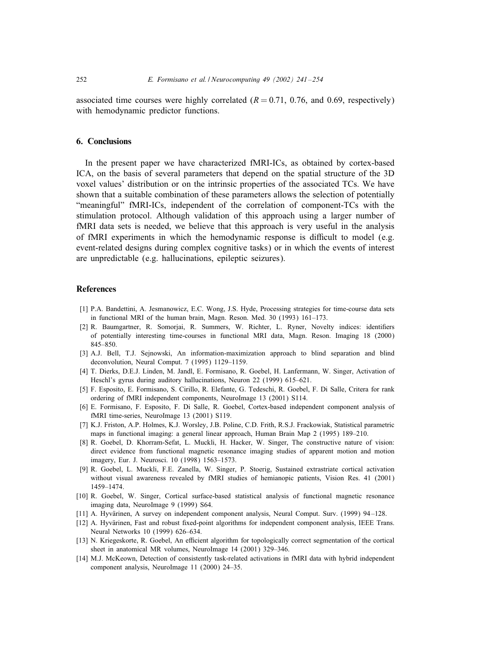associated time courses were highly correlated ( $R = 0.71$ , 0.76, and 0.69, respectively) with hemodynamic predictor functions.

#### 6. Conclusions

In the present paper we have characterized fMRI-ICs, as obtained by cortex-based ICA, on the basis of several parameters that depend on the spatial structure of the 3D voxel values' distribution or on the intrinsic properties of the associated TCs. We have shown that a suitable combination of these parameters allows the selection of potentially "meaningful" fMRI-ICs, independent of the correlation of component-TCs with the stimulation protocol. Although validation of this approach using a larger number of fMRI data sets is needed, we believe that this approach is very useful in the analysis of fMRI experiments in which the hemodynamic response is difficult to model (e.g. event-related designs during complex cognitive tasks) or in which the events of interest are unpredictable (e.g. hallucinations, epileptic seizures).

## References

- [1] P.A. Bandettini, A. Jesmanowicz, E.C. Wong, J.S. Hyde, Processing strategies for time-course data sets in functional MRI of the human brain, Magn. Reson. Med. 30 (1993) 161–173.
- [2] R. Baumgartner, R. Somorjai, R. Summers, W. Richter, L. Ryner, Novelty indices: identifiers of potentially interesting time-courses in functional MRI data, Magn. Reson. Imaging 18 (2000) 845–850.
- [3] A.J. Bell, T.J. Sejnowski, An information-maximization approach to blind separation and blind deconvolution, Neural Comput. 7 (1995) 1129–1159.
- [4] T. Dierks, D.E.J. Linden, M. Jandl, E. Formisano, R. Goebel, H. Lanfermann, W. Singer, Activation of Heschl's gyrus during auditory hallucinations, Neuron 22 (1999) 615–621.
- [5] F. Esposito, E. Formisano, S. Cirillo, R. Elefante, G. Tedeschi, R. Goebel, F. Di Salle, Critera for rank ordering of fMRI independent components, NeuroImage 13 (2001) S114.
- [6] E. Formisano, F. Esposito, F. Di Salle, R. Goebel, Cortex-based independent component analysis of fMRI time-series, NeuroImage 13 (2001) S119.
- [7] K.J. Friston, A.P. Holmes, K.J. Worsley, J.B. Poline, C.D. Frith, R.S.J. Frackowiak, Statistical parametric maps in functional imaging: a general linear approach, Human Brain Map 2 (1995) 189–210.
- [8] R. Goebel, D. Khorram-Sefat, L. Muckli, H. Hacker, W. Singer, The constructive nature of vision: direct evidence from functional magnetic resonance imaging studies of apparent motion and motion imagery, Eur. J. Neurosci. 10 (1998) 1563–1573.
- [9] R. Goebel, L. Muckli, F.E. Zanella, W. Singer, P. Stoerig, Sustained extrastriate cortical activation without visual awareness revealed by fMRI studies of hemianopic patients, Vision Res. 41 (2001) 1459–1474.
- [10] R. Goebel, W. Singer, Cortical surface-based statistical analysis of functional magnetic resonance imaging data, NeuroImage 9 (1999) S64.
- [11] A. Hyvärinen, A survey on independent component analysis, Neural Comput. Surv. (1999) 94-128.
- [12] A. Hyvärinen, Fast and robust fixed-point algorithms for independent component analysis, IEEE Trans. Neural Networks 10 (1999) 626–634.
- [13] N. Kriegeskorte, R. Goebel, An efficient algorithm for topologically correct segmentation of the cortical sheet in anatomical MR volumes, NeuroImage 14 (2001) 329–346.
- [14] M.J. McKeown, Detection of consistently task-related activations in fMRI data with hybrid independent component analysis, NeuroImage 11 (2000) 24–35.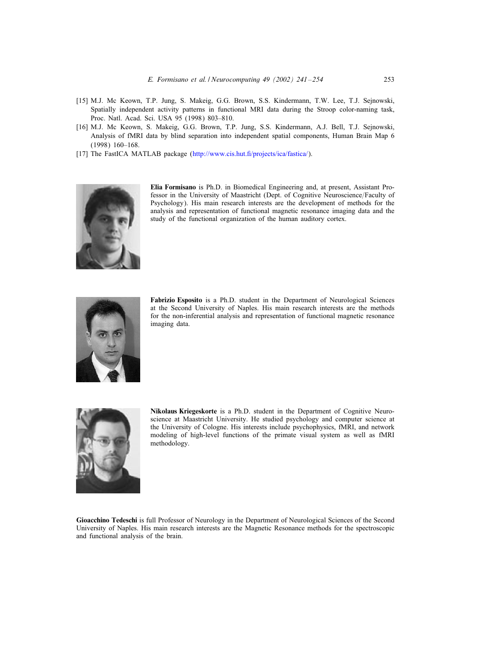- [15] M.J. Mc Keown, T.P. Jung, S. Makeig, G.G. Brown, S.S. Kindermann, T.W. Lee, T.J. Sejnowski, Spatially independent activity patterns in functional MRI data during the Stroop color-naming task, Proc. Natl. Acad. Sci. USA 95 (1998) 803–810.
- [16] M.J. Mc Keown, S. Makeig, G.G. Brown, T.P. Jung, S.S. Kindermann, A.J. Bell, T.J. Sejnowski, Analysis offMRI data by blind separation into independent spatial components, Human Brain Map 6 (1998) 160–168.
- [17] The FastICA MATLAB package (http://www.cis.hut.fi/projects/ica/fastica/).



Elia Formisano is Ph.D. in Biomedical Engineering and, at present, Assistant Professor in the University of Maastricht (Dept. of Cognitive Neuroscience/Faculty of Psychology). His main research interests are the development of methods for the analysis and representation of functional magnetic resonance imaging data and the study of the functional organization of the human auditory cortex.



Fabrizio Esposito is a Ph.D. student in the Department of Neurological Sciences at the Second University of Naples. His main research interests are the methods for the non-inferential analysis and representation of functional magnetic resonance imaging data.



Nikolaus Kriegeskorte is a Ph.D. student in the Department of Cognitive Neuroscience at Maastricht University. He studied psychology and computer science at the University of Cologne. His interests include psychophysics, fMRI, and network modeling of high-level functions of the primate visual system as well as fMRI methodology.

Gioacchino Tedeschi is full Professor of Neurology in the Department of Neurological Sciences of the Second University of Naples. His main research interests are the Magnetic Resonance methods for the spectroscopic and functional analysis of the brain.